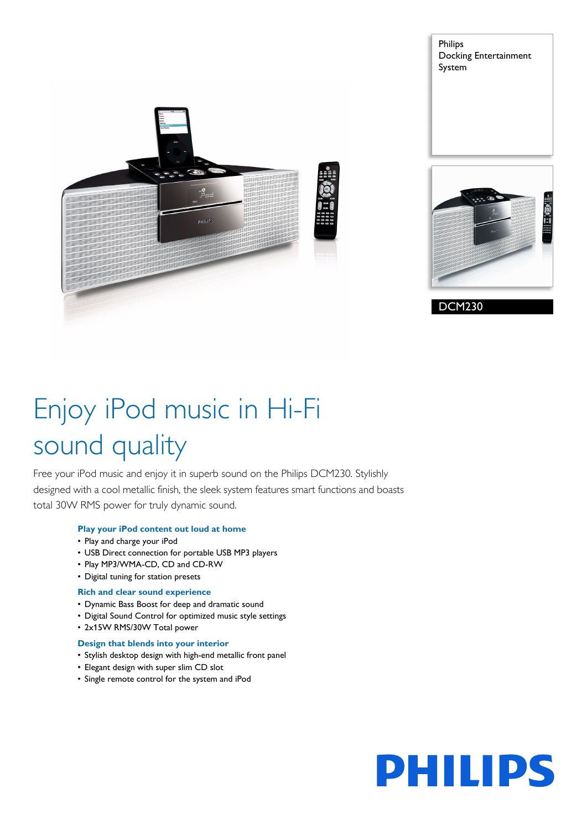

Philips Docking Entertainment System



DCM230

# Enjoy iPod music in Hi-Fi sound quality

Free your iPod music and enjoy it in superb sound on the Philips DCM230. Stylishly designed with a cool metallic finish, the sleek system features smart functions and boasts total 30W RMS power for truly dynamic sound.

#### **Play your iPod content out loud at home**

- Play and charge your iPod
- USB Direct connection for portable USB MP3 players
- Play MP3/WMA-CD, CD and CD-RW
- Digital tuning for station presets

#### **Rich and clear sound experience**

- Dynamic Bass Boost for deep and dramatic sound
- Digital Sound Control for optimized music style settings
- 2x15W RMS/30W Total power

#### **Design that blends into your interior**

- Stylish desktop design with high-end metallic front panel
- Elegant design with super slim CD slot
- Single remote control for the system and iPod